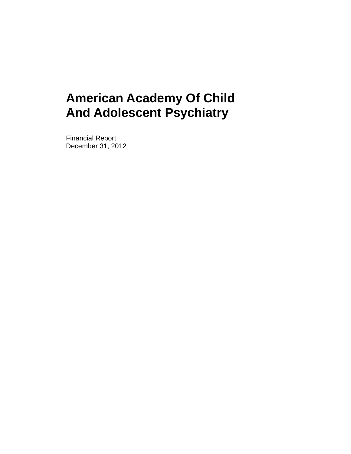Financial Report December 31, 2012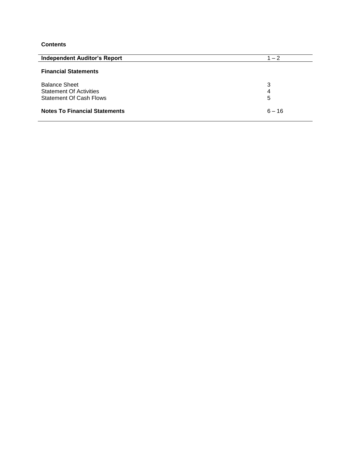# **Contents**

| <b>Independent Auditor's Report</b>                                                      | $1 - 2$     |
|------------------------------------------------------------------------------------------|-------------|
| <b>Financial Statements</b>                                                              |             |
| <b>Balance Sheet</b><br><b>Statement Of Activities</b><br><b>Statement Of Cash Flows</b> | 3<br>4<br>5 |
| <b>Notes To Financial Statements</b>                                                     | $6 - 16$    |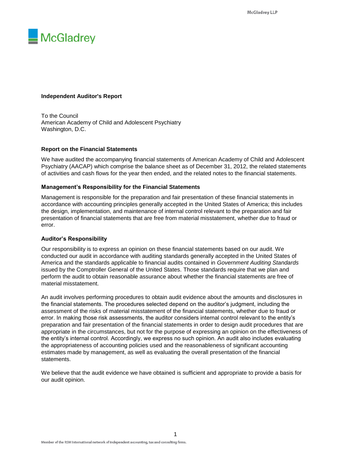

#### **Independent Auditor's Report**

To the Council American Academy of Child and Adolescent Psychiatry Washington, D.C.

#### **Report on the Financial Statements**

We have audited the accompanying financial statements of American Academy of Child and Adolescent Psychiatry (AACAP) which comprise the balance sheet as of December 31, 2012, the related statements of activities and cash flows for the year then ended, and the related notes to the financial statements.

#### **Management's Responsibility for the Financial Statements**

Management is responsible for the preparation and fair presentation of these financial statements in accordance with accounting principles generally accepted in the United States of America; this includes the design, implementation, and maintenance of internal control relevant to the preparation and fair presentation of financial statements that are free from material misstatement, whether due to fraud or error.

#### **Auditor's Responsibility**

Our responsibility is to express an opinion on these financial statements based on our audit. We conducted our audit in accordance with auditing standards generally accepted in the United States of America and the standards applicable to financial audits contained in *Government Auditing Standards*  issued by the Comptroller General of the United States. Those standards require that we plan and perform the audit to obtain reasonable assurance about whether the financial statements are free of material misstatement.

An audit involves performing procedures to obtain audit evidence about the amounts and disclosures in the financial statements. The procedures selected depend on the auditor's judgment, including the assessment of the risks of material misstatement of the financial statements, whether due to fraud or error. In making those risk assessments, the auditor considers internal control relevant to the entity's preparation and fair presentation of the financial statements in order to design audit procedures that are appropriate in the circumstances, but not for the purpose of expressing an opinion on the effectiveness of the entity's internal control. Accordingly, we express no such opinion. An audit also includes evaluating the appropriateness of accounting policies used and the reasonableness of significant accounting estimates made by management, as well as evaluating the overall presentation of the financial statements.

We believe that the audit evidence we have obtained is sufficient and appropriate to provide a basis for our audit opinion.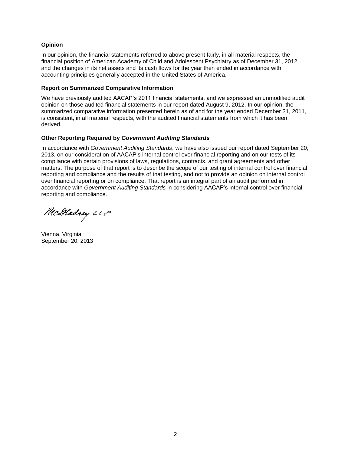#### **Opinion**

In our opinion, the financial statements referred to above present fairly, in all material respects, the financial position of American Academy of Child and Adolescent Psychiatry as of December 31, 2012, and the changes in its net assets and its cash flows for the year then ended in accordance with accounting principles generally accepted in the United States of America.

#### **Report on Summarized Comparative Information**

We have previously audited AACAP's 2011 financial statements, and we expressed an unmodified audit opinion on those audited financial statements in our report dated August 9, 2012. In our opinion, the summarized comparative information presented herein as of and for the year ended December 31, 2011, is consistent, in all material respects, with the audited financial statements from which it has been derived.

### **Other Reporting Required by** *Government Auditing Standards*

In accordance with *Government Auditing Standards*, we have also issued our report dated September 20, 2013, on our consideration of AACAP's internal control over financial reporting and on our tests of its compliance with certain provisions of laws, regulations, contracts, and grant agreements and other matters. The purpose of that report is to describe the scope of our testing of internal control over financial reporting and compliance and the results of that testing, and not to provide an opinion on internal control over financial reporting or on compliance. That report is an integral part of an audit performed in accordance with *Government Auditing Standards* in considering AACAP's internal control over financial reporting and compliance.

McGladrey LLP

Vienna, Virginia September 20, 2013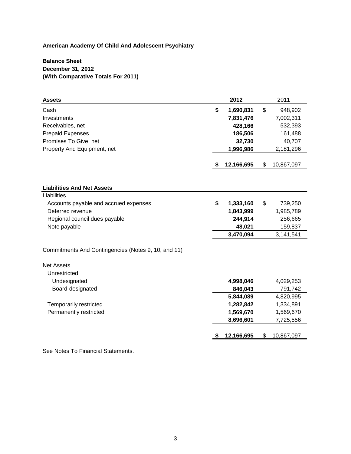# **Balance Sheet December 31, 2012 (With Comparative Totals For 2011)**

| <b>Assets</b>                                       | 2012            | 2011             |
|-----------------------------------------------------|-----------------|------------------|
| Cash                                                | \$<br>1,690,831 | \$<br>948,902    |
| Investments                                         | 7,831,476       | 7,002,311        |
| Receivables, net                                    | 428,166         | 532,393          |
| <b>Prepaid Expenses</b>                             | 186,506         | 161,488          |
| Promises To Give, net                               | 32,730          | 40,707           |
| Property And Equipment, net                         | 1,996,986       | 2,181,296        |
|                                                     |                 |                  |
|                                                     | 12,166,695      | \$<br>10,867,097 |
|                                                     |                 |                  |
| <b>Liabilities And Net Assets</b>                   |                 |                  |
| Liabilities                                         |                 |                  |
| Accounts payable and accrued expenses               | \$<br>1,333,160 | \$<br>739,250    |
| Deferred revenue                                    | 1,843,999       | 1,985,789        |
| Regional council dues payable                       | 244,914         | 256,665          |
| Note payable                                        | 48,021          | 159,837          |
|                                                     | 3,470,094       | 3,141,541        |
| Commitments And Contingencies (Notes 9, 10, and 11) |                 |                  |
| <b>Net Assets</b>                                   |                 |                  |
| Unrestricted                                        |                 |                  |
| Undesignated                                        | 4,998,046       | 4,029,253        |
| Board-designated                                    | 846,043         | 791,742          |
|                                                     | 5,844,089       | 4,820,995        |
| Temporarily restricted                              | 1,282,842       | 1,334,891        |
| Permanently restricted                              | 1,569,670       | 1,569,670        |
|                                                     | 8,696,601       | 7,725,556        |
|                                                     | 12,166,695      | \$<br>10,867,097 |
|                                                     |                 |                  |

See Notes To Financial Statements.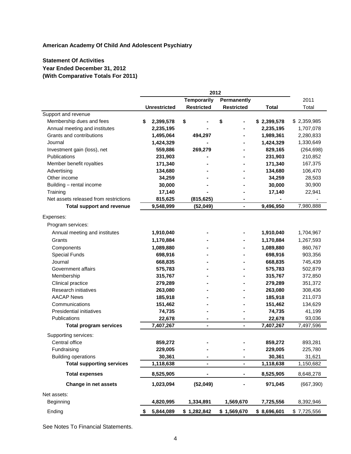# **Statement Of Activities Year Ended December 31, 2012 (With Comparative Totals For 2011)**

|                                       |   |                     | 2012               |                   |                          |                    |             |
|---------------------------------------|---|---------------------|--------------------|-------------------|--------------------------|--------------------|-------------|
|                                       |   |                     | <b>Temporarily</b> | Permanently       |                          |                    | 2011        |
|                                       |   | <b>Unrestricted</b> | <b>Restricted</b>  | <b>Restricted</b> |                          | <b>Total</b>       | Total       |
| Support and revenue                   |   |                     |                    |                   |                          |                    |             |
| Membership dues and fees              | S | 2,399,578           | \$                 | \$                |                          | \$2,399,578        | \$2,359,985 |
| Annual meeting and institutes         |   | 2,235,195           |                    |                   |                          | 2,235,195          | 1,707,078   |
| Grants and contributions              |   | 1,495,064           | 494,297            |                   |                          | 1,989,361          | 2,280,833   |
| Journal                               |   | 1,424,329           |                    |                   |                          | 1,424,329          | 1,330,649   |
| Investment gain (loss), net           |   | 559,886             | 269,279            |                   |                          | 829,165            | (264, 698)  |
| Publications                          |   | 231,903             |                    |                   |                          | 231,903            | 210,852     |
| Member benefit royalties              |   | 171,340             |                    |                   |                          | 171,340            | 167,375     |
| Advertising                           |   | 134,680             |                    |                   |                          | 134,680            | 106,470     |
| Other income                          |   | 34,259              |                    |                   |                          | 34,259             | 28,503      |
| Building - rental income              |   | 30,000              |                    |                   |                          | 30,000             | 30,900      |
| Training                              |   | 17,140              |                    |                   |                          | 17,140             | 22,941      |
| Net assets released from restrictions |   | 815,625             | (815, 625)         |                   |                          |                    |             |
| <b>Total support and revenue</b>      |   | 9,548,999           | (52,049)           |                   | $\blacksquare$           | 9,496,950          | 7,980,888   |
| Expenses:                             |   |                     |                    |                   |                          |                    |             |
| Program services:                     |   |                     |                    |                   |                          |                    |             |
| Annual meeting and institutes         |   | 1,910,040           |                    |                   |                          | 1,910,040          | 1,704,967   |
| Grants                                |   | 1,170,884           |                    |                   |                          | 1,170,884          | 1,267,593   |
| Components                            |   | 1,089,880           |                    |                   |                          | 1,089,880          | 860,767     |
| <b>Special Funds</b>                  |   | 698,916             |                    |                   |                          | 698,916            | 903,356     |
| Journal                               |   | 668,835             |                    |                   |                          | 668,835            | 745,439     |
| Government affairs                    |   | 575,783             |                    |                   |                          | 575,783            | 502,879     |
| Membership                            |   | 315,767             |                    |                   |                          | 315,767            | 372,850     |
| Clinical practice                     |   | 279,289             |                    |                   |                          | 279,289            | 351,372     |
| Research initiatives                  |   | 263,080             |                    |                   |                          | 263,080            | 308,436     |
| <b>AACAP News</b>                     |   | 185,918             |                    |                   |                          | 185,918            | 211,073     |
| Communications                        |   | 151,462             |                    |                   |                          | 151,462            | 134,629     |
| Presidential initiatives              |   | 74,735              |                    |                   |                          | 74,735             | 41,199      |
| Publications                          |   | 22,678              | $\blacksquare$     |                   | $\blacksquare$           | 22,678             | 93,036      |
| <b>Total program services</b>         |   | 7,407,267           | $\blacksquare$     |                   | $\overline{\phantom{0}}$ | 7,407,267          | 7,497,596   |
| Supporting services:                  |   |                     |                    |                   |                          |                    |             |
| Central office                        |   |                     |                    |                   |                          |                    | 893,281     |
|                                       |   | 859,272             |                    |                   |                          | 859,272<br>229,005 | 225,780     |
| Fundraising                           |   | 229,005             |                    |                   |                          |                    | 31,621      |
| <b>Building operations</b>            |   | 30,361              |                    |                   |                          | 30,361             |             |
| <b>Total supporting services</b>      |   | 1,118,638           | $\blacksquare$     |                   | $\blacksquare$           | 1,118,638          | 1,150,682   |
| <b>Total expenses</b>                 |   | 8,525,905           |                    |                   |                          | 8,525,905          | 8,648,278   |
| Change in net assets                  |   | 1,023,094           | (52,049)           |                   |                          | 971,045            | (667, 390)  |
| Net assets:                           |   |                     |                    |                   |                          |                    |             |
| Beginning                             |   | 4,820,995           | 1,334,891          | 1,569,670         |                          | 7,725,556          | 8,392,946   |
| Ending                                |   | 5,844,089           | \$1,282,842        | \$1,569,670       |                          | \$8,696,601        | \$7,725,556 |

See Notes To Financial Statements.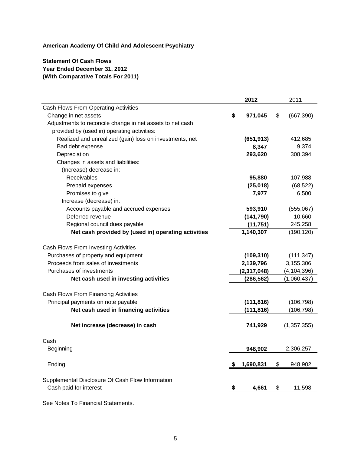# **Statement Of Cash Flows Year Ended December 31, 2012 (With Comparative Totals For 2011)**

|                                                           | 2012          | 2011             |
|-----------------------------------------------------------|---------------|------------------|
| Cash Flows From Operating Activities                      |               |                  |
| Change in net assets                                      | \$<br>971,045 | \$<br>(667, 390) |
| Adjustments to reconcile change in net assets to net cash |               |                  |
| provided by (used in) operating activities:               |               |                  |
| Realized and unrealized (gain) loss on investments, net   | (651, 913)    | 412,685          |
| Bad debt expense                                          | 8,347         | 9,374            |
| Depreciation                                              | 293,620       | 308,394          |
| Changes in assets and liabilities:                        |               |                  |
| (Increase) decrease in:                                   |               |                  |
| Receivables                                               | 95,880        | 107,988          |
| Prepaid expenses                                          | (25,018)      | (68, 522)        |
| Promises to give                                          | 7,977         | 6,500            |
| Increase (decrease) in:                                   |               |                  |
| Accounts payable and accrued expenses                     | 593,910       | (555,067)        |
| Deferred revenue                                          | (141, 790)    | 10,660           |
| Regional council dues payable                             | (11, 751)     | 245,258          |
| Net cash provided by (used in) operating activities       | 1,140,307     | (190, 120)       |
|                                                           |               |                  |
| Cash Flows From Investing Activities                      |               |                  |
| Purchases of property and equipment                       | (109, 310)    | (111, 347)       |
| Proceeds from sales of investments                        | 2,139,796     | 3,155,306        |
| Purchases of investments                                  | (2,317,048)   | (4, 104, 396)    |
| Net cash used in investing activities                     | (286, 562)    | (1,060,437)      |
|                                                           |               |                  |
| Cash Flows From Financing Activities                      |               |                  |
| Principal payments on note payable                        | (111, 816)    | (106, 798)       |
| Net cash used in financing activities                     | (111, 816)    | (106, 798)       |
| Net increase (decrease) in cash                           | 741,929       | (1, 357, 355)    |
| Cash                                                      |               |                  |
| Beginning                                                 | 948,902       | 2,306,257        |
|                                                           |               |                  |
| Ending                                                    | 1,690,831     | \$<br>948,902    |
|                                                           |               |                  |
| Supplemental Disclosure Of Cash Flow Information          |               |                  |
| Cash paid for interest                                    | \$<br>4,661   | \$<br>11,598     |
|                                                           |               |                  |

See Notes To Financial Statements.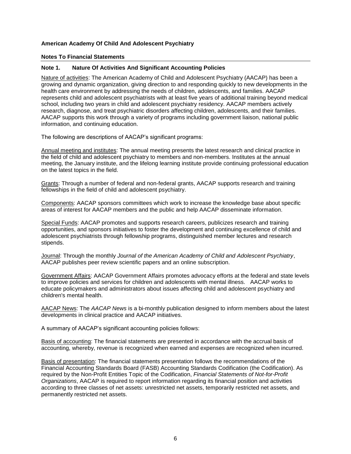#### **Notes To Financial Statements**

#### **Note 1. Nature Of Activities And Significant Accounting Policies**

Nature of activities: The American Academy of Child and Adolescent Psychiatry (AACAP) has been a growing and dynamic organization, giving direction to and responding quickly to new developments in the health care environment by addressing the needs of children, adolescents, and families. AACAP represents child and adolescent psychiatrists with at least five years of additional training beyond medical school, including two years in child and adolescent psychiatry residency. AACAP members actively research, diagnose, and treat psychiatric disorders affecting children, adolescents, and their families. AACAP supports this work through a variety of programs including government liaison, national public information, and continuing education.

The following are descriptions of AACAP's significant programs:

Annual meeting and institutes: The annual meeting presents the latest research and clinical practice in the field of child and adolescent psychiatry to members and non-members. Institutes at the annual meeting, the January institute, and the lifelong learning institute provide continuing professional education on the latest topics in the field.

Grants: Through a number of federal and non-federal grants, AACAP supports research and training fellowships in the field of child and adolescent psychiatry.

Components: AACAP sponsors committees which work to increase the knowledge base about specific areas of interest for AACAP members and the public and help AACAP disseminate information.

Special Funds: AACAP promotes and supports research careers, publicizes research and training opportunities, and sponsors initiatives to foster the development and continuing excellence of child and adolescent psychiatrists through fellowship programs, distinguished member lectures and research stipends.

Journal: Through the monthly *Journal of the American Academy of Child and Adolescent Psychiatry*, AACAP publishes peer review scientific papers and an online subscription.

Government Affairs: AACAP Government Affairs promotes advocacy efforts at the federal and state levels to improve policies and services for children and adolescents with mental illness. AACAP works to educate policymakers and administrators about issues affecting child and adolescent psychiatry and children's mental health.

AACAP News: The *AACAP News* is a bi-monthly publication designed to inform members about the latest developments in clinical practice and AACAP initiatives.

A summary of AACAP's significant accounting policies follows:

Basis of accounting: The financial statements are presented in accordance with the accrual basis of accounting, whereby, revenue is recognized when earned and expenses are recognized when incurred.

Basis of presentation: The financial statements presentation follows the recommendations of the Financial Accounting Standards Board (FASB) Accounting Standards Codification (the Codification). As required by the Non-Profit Entities Topic of the Codification, *Financial Statements of Not-for-Profit Organizations*, AACAP is required to report information regarding its financial position and activities according to three classes of net assets: unrestricted net assets, temporarily restricted net assets, and permanently restricted net assets.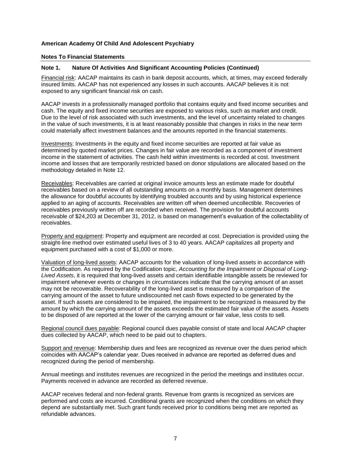#### **Notes To Financial Statements**

#### **Note 1. Nature Of Activities And Significant Accounting Policies (Continued)**

Financial risk: AACAP maintains its cash in bank deposit accounts, which, at times, may exceed federally insured limits. AACAP has not experienced any losses in such accounts. AACAP believes it is not exposed to any significant financial risk on cash.

AACAP invests in a professionally managed portfolio that contains equity and fixed income securities and cash. The equity and fixed income securities are exposed to various risks, such as market and credit. Due to the level of risk associated with such investments, and the level of uncertainty related to changes in the value of such investments, it is at least reasonably possible that changes in risks in the near term could materially affect investment balances and the amounts reported in the financial statements.

Investments: Investments in the equity and fixed income securities are reported at fair value as determined by quoted market prices. Changes in fair value are recorded as a component of investment income in the statement of activities. The cash held within investments is recorded at cost. Investment income and losses that are temporarily restricted based on donor stipulations are allocated based on the methodology detailed in Note 12.

Receivables: Receivables are carried at original invoice amounts less an estimate made for doubtful receivables based on a review of all outstanding amounts on a monthly basis. Management determines the allowance for doubtful accounts by identifying troubled accounts and by using historical experience applied to an aging of accounts. Receivables are written off when deemed uncollectible. Recoveries of receivables previously written off are recorded when received. The provision for doubtful accounts receivable of \$24,203 at December 31, 2012, is based on management's evaluation of the collectability of receivables.

Property and equipment: Property and equipment are recorded at cost. Depreciation is provided using the straight-line method over estimated useful lives of 3 to 40 years. AACAP capitalizes all property and equipment purchased with a cost of \$1,000 or more.

Valuation of long-lived assets: AACAP accounts for the valuation of long-lived assets in accordance with the Codification. As required by the Codification topic, *Accounting for the Impairment or Disposal of Long-Lived Assets*, it is required that long-lived assets and certain identifiable intangible assets be reviewed for impairment whenever events or changes in circumstances indicate that the carrying amount of an asset may not be recoverable. Recoverability of the long-lived asset is measured by a comparison of the carrying amount of the asset to future undiscounted net cash flows expected to be generated by the asset. If such assets are considered to be impaired, the impairment to be recognized is measured by the amount by which the carrying amount of the assets exceeds the estimated fair value of the assets. Assets to be disposed of are reported at the lower of the carrying amount or fair value, less costs to sell.

Regional council dues payable: Regional council dues payable consist of state and local AACAP chapter dues collected by AACAP, which need to be paid out to chapters.

Support and revenue: Membership dues and fees are recognized as revenue over the dues period which coincides with AACAP's calendar year. Dues received in advance are reported as deferred dues and recognized during the period of membership.

Annual meetings and institutes revenues are recognized in the period the meetings and institutes occur. Payments received in advance are recorded as deferred revenue.

AACAP receives federal and non-federal grants. Revenue from grants is recognized as services are performed and costs are incurred. Conditional grants are recognized when the conditions on which they depend are substantially met. Such grant funds received prior to conditions being met are reported as refundable advances.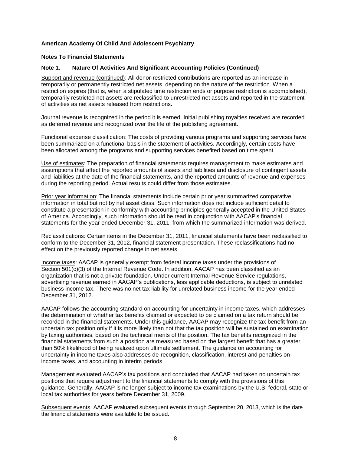#### **Notes To Financial Statements**

#### **Note 1. Nature Of Activities And Significant Accounting Policies (Continued)**

Support and revenue (continued): All donor-restricted contributions are reported as an increase in temporarily or permanently restricted net assets, depending on the nature of the restriction. When a restriction expires (that is, when a stipulated time restriction ends or purpose restriction is accomplished), temporarily restricted net assets are reclassified to unrestricted net assets and reported in the statement of activities as net assets released from restrictions.

Journal revenue is recognized in the period it is earned. Initial publishing royalties received are recorded as deferred revenue and recognized over the life of the publishing agreement.

Functional expense classification: The costs of providing various programs and supporting services have been summarized on a functional basis in the statement of activities. Accordingly, certain costs have been allocated among the programs and supporting services benefited based on time spent.

Use of estimates: The preparation of financial statements requires management to make estimates and assumptions that affect the reported amounts of assets and liabilities and disclosure of contingent assets and liabilities at the date of the financial statements, and the reported amounts of revenue and expenses during the reporting period. Actual results could differ from those estimates.

Prior year information: The financial statements include certain prior year summarized comparative information in total but not by net asset class. Such information does not include sufficient detail to constitute a presentation in conformity with accounting principles generally accepted in the United States of America. Accordingly, such information should be read in conjunction with AACAP's financial statements for the year ended December 31, 2011, from which the summarized information was derived.

Reclassifications: Certain items in the December 31, 2011, financial statements have been reclassified to conform to the December 31, 2012, financial statement presentation. These reclassifications had no effect on the previously reported change in net assets.

Income taxes: AACAP is generally exempt from federal income taxes under the provisions of Section 501(c)(3) of the Internal Revenue Code. In addition, AACAP has been classified as an organization that is not a private foundation. Under current Internal Revenue Service regulations, advertising revenue earned in AACAP's publications, less applicable deductions, is subject to unrelated business income tax. There was no net tax liability for unrelated business income for the year ended December 31, 2012.

AACAP follows the accounting standard on accounting for uncertainty in income taxes, which addresses the determination of whether tax benefits claimed or expected to be claimed on a tax return should be recorded in the financial statements. Under this guidance, AACAP may recognize the tax benefit from an uncertain tax position only if it is more likely than not that the tax position will be sustained on examination by taxing authorities, based on the technical merits of the position. The tax benefits recognized in the financial statements from such a position are measured based on the largest benefit that has a greater than 50% likelihood of being realized upon ultimate settlement. The guidance on accounting for uncertainty in income taxes also addresses de-recognition, classification, interest and penalties on income taxes, and accounting in interim periods.

Management evaluated AACAP's tax positions and concluded that AACAP had taken no uncertain tax positions that require adjustment to the financial statements to comply with the provisions of this guidance. Generally, AACAP is no longer subject to income tax examinations by the U.S. federal, state or local tax authorities for years before December 31, 2009.

Subsequent events: AACAP evaluated subsequent events through September 20, 2013, which is the date the financial statements were available to be issued.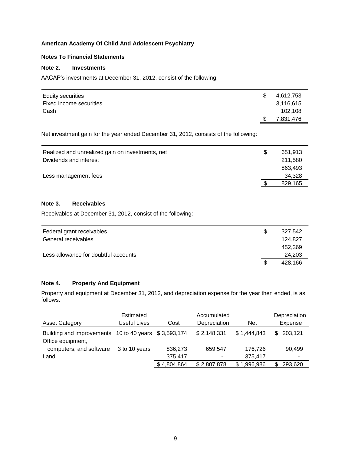### **Notes To Financial Statements**

## **Note 2. Investments**

AACAP's investments at December 31, 2012, consist of the following:

| Equity securities       | S | 4,612,753 |
|-------------------------|---|-----------|
| Fixed income securities |   | 3,116,615 |
| Cash                    |   | 102,108   |
|                         |   | 7,831,476 |

Net investment gain for the year ended December 31, 2012, consists of the following:

| Realized and unrealized gain on investments, net | 651.913 |
|--------------------------------------------------|---------|
| Dividends and interest                           | 211,580 |
|                                                  | 863,493 |
| Less management fees                             | 34.328  |
|                                                  | 829,165 |

### **Note 3. Receivables**

Receivables at December 31, 2012, consist of the following:

| Federal grant receivables            | -\$ | 327.542 |
|--------------------------------------|-----|---------|
| General receivables                  |     | 124.827 |
|                                      |     | 452.369 |
| Less allowance for doubtful accounts |     | 24.203  |
|                                      |     | 428,166 |

#### **Note 4. Property And Equipment**

Property and equipment at December 31, 2012, and depreciation expense for the year then ended, is as follows:

| <b>Asset Category</b>                                                     | Estimated<br><b>Useful Lives</b> | Cost        | Accumulated<br>Depreciation | <b>Net</b>  | Depreciation<br>Expense |
|---------------------------------------------------------------------------|----------------------------------|-------------|-----------------------------|-------------|-------------------------|
| Building and improvements 10 to 40 years \$3,593,174<br>Office equipment, |                                  |             | \$2,148,331                 | \$1,444,843 | 203,121<br>\$.          |
| computers, and software                                                   | 3 to 10 years                    | 836.273     | 659.547                     | 176.726     | 90.499                  |
| Land                                                                      |                                  | 375.417     | ۰                           | 375,417     | ٠                       |
|                                                                           |                                  | \$4,804,864 | \$2,807,878                 | \$1,996,986 | 293,620                 |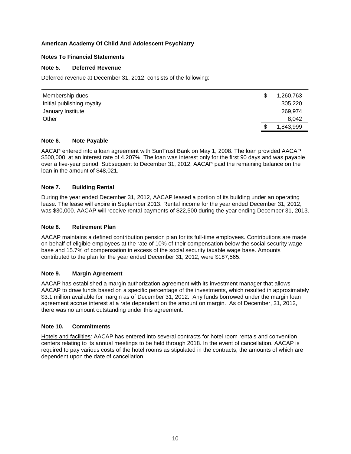#### **Notes To Financial Statements**

#### **Note 5. Deferred Revenue**

Deferred revenue at December 31, 2012, consists of the following:

| Membership dues            |   | 1,260,763 |
|----------------------------|---|-----------|
| Initial publishing royalty |   | 305,220   |
| January Institute          |   | 269,974   |
| Other                      |   | 8.042     |
|                            | S | 1,843,999 |

#### **Note 6. Note Payable**

AACAP entered into a loan agreement with SunTrust Bank on May 1, 2008. The loan provided AACAP \$500,000, at an interest rate of 4.207%. The loan was interest only for the first 90 days and was payable over a five-year period. Subsequent to December 31, 2012, AACAP paid the remaining balance on the loan in the amount of \$48,021.

#### **Note 7. Building Rental**

During the year ended December 31, 2012, AACAP leased a portion of its building under an operating lease. The lease will expire in September 2013. Rental income for the year ended December 31, 2012, was \$30,000. AACAP will receive rental payments of \$22,500 during the year ending December 31, 2013.

#### **Note 8. Retirement Plan**

AACAP maintains a defined contribution pension plan for its full-time employees. Contributions are made on behalf of eligible employees at the rate of 10% of their compensation below the social security wage base and 15.7% of compensation in excess of the social security taxable wage base. Amounts contributed to the plan for the year ended December 31, 2012, were \$187,565.

#### **Note 9. Margin Agreement**

AACAP has established a margin authorization agreement with its investment manager that allows AACAP to draw funds based on a specific percentage of the investments, which resulted in approximately \$3.1 million available for margin as of December 31, 2012. Any funds borrowed under the margin loan agreement accrue interest at a rate dependent on the amount on margin. As of December, 31, 2012, there was no amount outstanding under this agreement.

#### **Note 10. Commitments**

Hotels and facilities: AACAP has entered into several contracts for hotel room rentals and convention centers relating to its annual meetings to be held through 2018. In the event of cancellation, AACAP is required to pay various costs of the hotel rooms as stipulated in the contracts, the amounts of which are dependent upon the date of cancellation.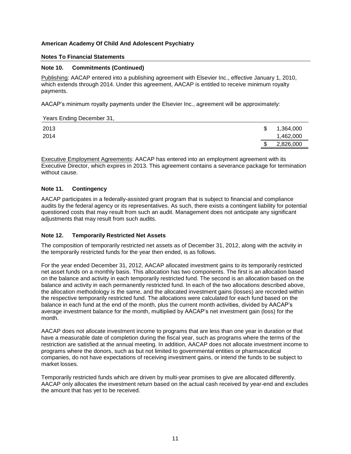#### **Notes To Financial Statements**

#### **Note 10. Commitments (Continued)**

Publishing: AACAP entered into a publishing agreement with Elsevier Inc., effective January 1, 2010, which extends through 2014. Under this agreement, AACAP is entitled to receive minimum royalty payments.

AACAP's minimum royalty payments under the Elsevier Inc., agreement will be approximately:

| Years Ending December 31, |      |           |
|---------------------------|------|-----------|
| 2013                      | - \$ | 1,364,000 |
| 2014                      |      | 1,462,000 |
|                           | \$.  | 2,826,000 |

Executive Employment Agreements: AACAP has entered into an employment agreement with its Executive Director, which expires in 2013. This agreement contains a severance package for termination without cause.

### **Note 11. Contingency**

AACAP participates in a federally-assisted grant program that is subject to financial and compliance audits by the federal agency or its representatives. As such, there exists a contingent liability for potential questioned costs that may result from such an audit. Management does not anticipate any significant adjustments that may result from such audits.

#### **Note 12. Temporarily Restricted Net Assets**

The composition of temporarily restricted net assets as of December 31, 2012, along with the activity in the temporarily restricted funds for the year then ended, is as follows.

For the year ended December 31, 2012, AACAP allocated investment gains to its temporarily restricted net asset funds on a monthly basis. This allocation has two components. The first is an allocation based on the balance and activity in each temporarily restricted fund. The second is an allocation based on the balance and activity in each permanently restricted fund. In each of the two allocations described above, the allocation methodology is the same, and the allocated investment gains (losses) are recorded within the respective temporarily restricted fund. The allocations were calculated for each fund based on the balance in each fund at the end of the month, plus the current month activities, divided by AACAP's average investment balance for the month, multiplied by AACAP's net investment gain (loss) for the month.

AACAP does not allocate investment income to programs that are less than one year in duration or that have a measurable date of completion during the fiscal year, such as programs where the terms of the restriction are satisfied at the annual meeting. In addition, AACAP does not allocate investment income to programs where the donors, such as but not limited to governmental entities or pharmaceutical companies, do not have expectations of receiving investment gains, or intend the funds to be subject to market losses.

Temporarily restricted funds which are driven by multi-year promises to give are allocated differently. AACAP only allocates the investment return based on the actual cash received by year-end and excludes the amount that has yet to be received.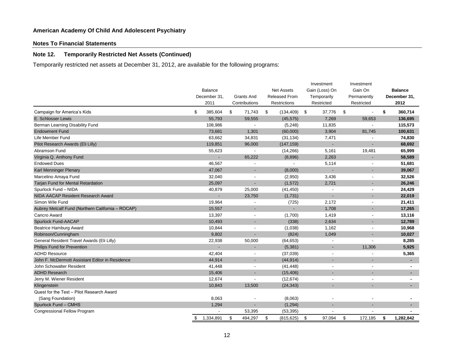## **Notes To Financial Statements**

# **Note 12. Temporarily Restricted Net Assets (Continued)**

Temporarily restricted net assets at December 31, 2012, are available for the following programs:

|                                                   | <b>Balance</b><br>December 31.<br>2011 | <b>Grants And</b><br>Contributions | <b>Net Assets</b><br><b>Released From</b><br>Restrictions | Investment<br>Gain (Loss) On<br>Temporarily<br>Restricted | Investment<br>Gain On<br>Permanently<br>Restricted | <b>Balance</b><br>December 31,<br>2012 |
|---------------------------------------------------|----------------------------------------|------------------------------------|-----------------------------------------------------------|-----------------------------------------------------------|----------------------------------------------------|----------------------------------------|
| Campaign for America's Kids                       | \$<br>385,604                          | \$<br>71,743                       | \$<br>$(134, 409)$ \$                                     | 37,776                                                    | \$                                                 | \$<br>360,714                          |
| E. Schlosser Lewis                                | 55,793                                 | 59,555                             | (45, 575)                                                 | 7,269                                                     | 59,653                                             | 136,695                                |
| Berman Learning Disability Fund                   | 108,986                                |                                    | (5, 248)                                                  | 11,835                                                    |                                                    | 115,573                                |
| <b>Endowment Fund</b>                             | 73,681                                 | 1,301                              | (60,000)                                                  | 3,904                                                     | 81,745                                             | 100,631                                |
| Life Member Fund                                  | 63,662                                 | 34,831                             | (31, 134)                                                 | 7,471                                                     |                                                    | 74,830                                 |
| Pilot Research Awards (Eli Lilly)                 | 119,851                                | 96,000                             | (147, 159)                                                |                                                           |                                                    | 68,692                                 |
| Abramson Fund                                     | 55,623                                 | $\blacksquare$                     | (14, 266)                                                 | 5,161                                                     | 19,481                                             | 65,999                                 |
| Virginia Q. Anthony Fund                          |                                        | 65,222                             | (8,896)                                                   | 2,263                                                     |                                                    | 58,589                                 |
| <b>Endowed Dues</b>                               | 46,567                                 |                                    |                                                           | 5,114                                                     |                                                    | 51,681                                 |
| <b>Karl Menninger Plenary</b>                     | 47,067                                 | $\overline{\phantom{a}}$           | (8,000)                                                   |                                                           |                                                    | 39,067                                 |
| Marcelino Amaya Fund                              | 32,040                                 |                                    | (2,950)                                                   | 3,436                                                     | $\blacksquare$                                     | 32,526                                 |
| Tarjan Fund for Mental Retardation                | 25,097                                 |                                    | (1, 572)                                                  | 2,721                                                     |                                                    | 26,246                                 |
| Spurlock Fund - NIDA                              | 40,879                                 | 25,000                             | (41, 450)                                                 |                                                           | $\overline{\phantom{a}}$                           | 24,429                                 |
| <b>NIDA AACAP Resident Research Award</b>         | $\blacksquare$                         | 23,750                             | (1,731)                                                   |                                                           |                                                    | 22,019                                 |
| Simon Wile Fund                                   | 19,964                                 |                                    | (725)                                                     | 2,172                                                     | $\overline{\phantom{a}}$                           | 21,411                                 |
| Aubrey Metcalf Fund (Northern California - ROCAP) | 15,557                                 |                                    | $\blacksquare$                                            | 1,708                                                     |                                                    | 17,265                                 |
| Cancro Award                                      | 13,397                                 |                                    | (1,700)                                                   | 1,419                                                     | $\overline{\phantom{a}}$                           | 13,116                                 |
| <b>Spurlock Fund-AACAP</b>                        | 10,493                                 |                                    | (338)                                                     | 2,634                                                     |                                                    | 12,789                                 |
| <b>Beatrice Hamburg Award</b>                     | 10,844                                 |                                    | (1,038)                                                   | 1,162                                                     |                                                    | 10,968                                 |
| Robinson/Cunningham                               | 9,802                                  | $\sim$                             | (824)                                                     | 1,049                                                     |                                                    | 10,027                                 |
| General Resident Travel Awards (Eli Lilly)        | 22,938                                 | 50,000                             | (64, 653)                                                 |                                                           |                                                    | 8,285                                  |
| Philips Fund for Prevention                       | $\blacksquare$                         | $\overline{a}$                     | (5, 381)                                                  | $\blacksquare$                                            | 11,306                                             | 5,925                                  |
| <b>ADHD Resource</b>                              | 42,404                                 |                                    | (37,039)                                                  |                                                           |                                                    | 5,365                                  |
| John F. McDermott Assistant Editor in Residence   | 44,914                                 |                                    | (44, 914)                                                 |                                                           |                                                    | $\sim$                                 |
| John Schowalter Resident                          | 41,448                                 |                                    | (41, 448)                                                 |                                                           |                                                    |                                        |
| <b>ADHD Research</b>                              | 15,406                                 | $\sim$                             | (15, 406)                                                 | ٠                                                         |                                                    | $\sim$                                 |
| Jerry M. Wiener Resident                          | 12,674                                 |                                    | (12, 674)                                                 |                                                           |                                                    |                                        |
| Klingenstein                                      | 10,843                                 | 13,500                             | (24, 343)                                                 |                                                           |                                                    |                                        |
| Quest for the Test - Pilot Research Award         |                                        |                                    |                                                           |                                                           |                                                    |                                        |
| (Sang Foundation)                                 | 8,063                                  |                                    | (8,063)                                                   |                                                           |                                                    |                                        |
| Spurlock Fund - CMHS                              | 1,294                                  | $\sim$                             | (1, 294)                                                  |                                                           |                                                    | $\overline{\phantom{a}}$               |
| <b>Congressional Fellow Program</b>               |                                        | 53,395                             | (53, 395)                                                 |                                                           |                                                    |                                        |
|                                                   | \$<br>1,334,891                        | \$<br>494,297                      | \$<br>(815, 625)                                          | \$<br>97,094                                              | \$<br>172,185                                      | \$<br>1,282,842                        |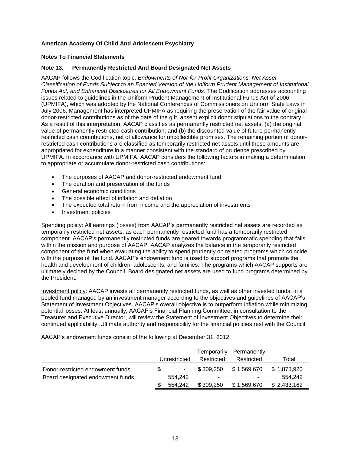#### **Notes To Financial Statements**

#### **Note 13. Permanently Restricted And Board Designated Net Assets**

AACAP follows the Codification topic, *Endowments of Not-for-Profit Organizations: Net Asset Classification of Funds Subject to an Enacted Version of the Uniform Prudent Management of Institutional Funds Act, and Enhanced Disclosures for All Endowment Funds*. The Codification addresses accounting issues related to guidelines in the Uniform Prudent Management of Institutional Funds Act of 2006 (UPMIFA), which was adopted by the National Conferences of Commissioners on Uniform State Laws in July 2006. Management has interpreted UPMIFA as requiring the preservation of the fair value of original donor-restricted contributions as of the date of the gift, absent explicit donor stipulations to the contrary. As a result of this interpretation, AACAP classifies as permanently restricted net assets: (a) the original value of permanently restricted cash contribution; and (b) the discounted value of future permanently restricted cash contributions, net of allowance for uncollectible promises. The remaining portion of donorrestricted cash contributions are classified as temporarily restricted net assets until those amounts are appropriated for expenditure in a manner consistent with the standard of prudence prescribed by UPMIFA. In accordance with UPMIFA, AACAP considers the following factors in making a determination to appropriate or accumulate donor-restricted cash contributions:

- The purposes of AACAP and donor-restricted endowment fund
- The duration and preservation of the funds
- General economic conditions
- The possible effect of inflation and deflation
- The expected total return from income and the appreciation of investments
- Investment policies

Spending policy: All earnings (losses) from AACAP's permanently restricted net assets are recorded as temporarily restricted net assets, as each permanently restricted fund has a temporarily restricted component. AACAP's permanently restricted funds are geared towards programmatic spending that falls within the mission and purpose of AACAP. AACAP analyzes the balance in the temporarily restricted component of the fund when evaluating the ability to spend prudently on related programs which coincide with the purpose of the fund. AACAP's endowment fund is used to support programs that promote the health and development of children, adolescents, and families. The programs which AACAP supports are ultimately decided by the Council. Board designated net assets are used to fund programs determined by the President.

Investment policy: AACAP invests all permanently restricted funds, as well as other invested funds, in a pooled fund managed by an investment manager according to the objectives and guidelines of AACAP's Statement of Investment Objectives. AACAP's overall objective is to outperform inflation while minimizing potential losses. At least annually, AACAP's Financial Planning Committee, in consultation to the Treasurer and Executive Director, will review the Statement of Investment Objectives to determine their continued applicability. Ultimate authority and responsibility for the financial policies rest with the Council.

|                                                                      |               | Temporarily                           | Permanently      |                        |
|----------------------------------------------------------------------|---------------|---------------------------------------|------------------|------------------------|
|                                                                      | Unrestricted  | Restricted                            | Restricted       | Total                  |
| Donor-restricted endowment funds<br>Board designated endowment funds | н.<br>554.242 | \$309.250<br>$\overline{\phantom{0}}$ | \$1,569,670<br>- | \$1.878.920<br>554.242 |
|                                                                      | 554.242       | \$309,250                             | \$1,569,670      | \$2,433,162            |

AACAP's endowment funds consist of the following at December 31, 2012: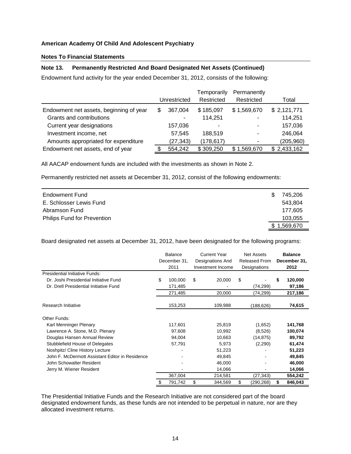#### **Notes To Financial Statements**

## **Note 13. Permanently Restricted And Board Designated Net Assets (Continued)**

Endowment fund activity for the year ended December 31, 2012, consists of the following:

|                                         |   |              | Temporarily | Permanently              |             |
|-----------------------------------------|---|--------------|-------------|--------------------------|-------------|
|                                         |   | Unrestricted | Restricted  | Restricted               | Total       |
| Endowment net assets, beginning of year | S | 367,004      | \$185,097   | \$1,569,670              | \$2,121,771 |
| Grants and contributions                |   |              | 114,251     | ٠                        | 114,251     |
| Current year designations               |   | 157,036      |             | ۰                        | 157,036     |
| Investment income, net                  |   | 57,545       | 188.519     | $\overline{\phantom{a}}$ | 246,064     |
| Amounts appropriated for expenditure    |   | (27, 343)    | (178, 617)  | ۰                        | (205,960)   |
| Endowment net assets, end of year       |   | 554,242      | \$309,250   | \$1,569,670              | \$2,433,162 |

All AACAP endowment funds are included with the investments as shown in Note 2.

Permanently restricted net assets at December 31, 2012, consist of the following endowments:

| Endowment Fund                     | 745.206   |
|------------------------------------|-----------|
| E. Schlosser Lewis Fund            | 543.804   |
| Abramson Fund                      | 177.605   |
| <b>Philips Fund for Prevention</b> | 103,055   |
|                                    | 1,569,670 |

Board designated net assets at December 31, 2012, have been designated for the following programs:

|                                                 | <b>Balance</b><br>December 31,<br>2011 | <b>Current Year</b><br>Designations And<br>Investment Income | <b>Net Assets</b><br>Released From<br>Designations |    | <b>Balance</b><br>December 31,<br>2012 |
|-------------------------------------------------|----------------------------------------|--------------------------------------------------------------|----------------------------------------------------|----|----------------------------------------|
| Presidential Initiative Funds:                  |                                        |                                                              |                                                    |    |                                        |
| Dr. Joshi Presidential Initiative Fund          | \$<br>100,000                          | \$<br>20,000                                                 | \$                                                 | S  | 120,000                                |
| Dr. Drell Presidential Initiative Fund          | 171,485                                |                                                              | (74,299)                                           |    | 97,186                                 |
|                                                 | 271,485                                | 20,000                                                       | (74, 299)                                          |    | 217,186                                |
| Research Initiative                             | 153,253                                | 109,988                                                      | (188, 626)                                         |    | 74,615                                 |
| Other Funds:                                    |                                        |                                                              |                                                    |    |                                        |
| Karl Menninger Plenary                          | 117,601                                | 25,819                                                       | (1,652)                                            |    | 141,768                                |
| Lawrence A. Stone, M.D. Plenary                 | 97,608                                 | 10,992                                                       | (8,526)                                            |    | 100,074                                |
| Douglas Hansen Annual Review                    | 94,004                                 | 10,663                                                       | (14, 875)                                          |    | 89,792                                 |
| Stubblefield House of Delegates                 | 57,791                                 | 5,973                                                        | (2,290)                                            |    | 61,474                                 |
| Noshpitz/ Cline History Lecture                 |                                        | 51,223                                                       |                                                    |    | 51,223                                 |
| John F. McDermott Assistant Editor in Residence |                                        | 49,845                                                       |                                                    |    | 49,845                                 |
| John Schowalter Resident                        |                                        | 46,000                                                       |                                                    |    | 46,000                                 |
| Jerry M. Wiener Resident                        | -                                      | 14,066                                                       |                                                    |    | 14,066                                 |
|                                                 | 367,004                                | 214,581                                                      | (27, 343)                                          |    | 554,242                                |
|                                                 | \$<br>791,742                          | \$<br>344,569                                                | \$<br>(290,268)                                    | \$ | 846,043                                |

The Presidential Initiative Funds and the Research Initiative are not considered part of the board designated endowment funds, as these funds are not intended to be perpetual in nature, nor are they allocated investment returns.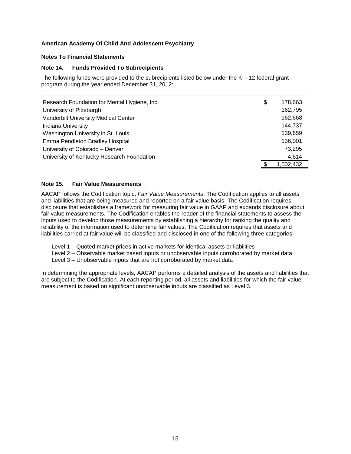#### **Notes To Financial Statements**

### **Note 14. Funds Provided To Subrecipients**

The following funds were provided to the subrecipients listed below under the  $K - 12$  federal grant program during the year ended December 31, 2012:

| Research Foundation for Mental Hygiene, Inc. | \$<br>178,663 |
|----------------------------------------------|---------------|
| University of Pittsburgh                     | 162,795       |
| Vanderbilt University Medical Center         | 162,668       |
| <b>Indiana University</b>                    | 144,737       |
| Washington University in St. Louis           | 139,659       |
| Emma Pendleton Bradley Hospital              | 136,001       |
| University of Colorado - Denver              | 73,295        |
| University of Kentucky Research Foundation   | 4,614         |
|                                              | 1,002,432     |

#### **Note 15. Fair Value Measurements**

AACAP follows the Codification topic, *Fair Value Measurements*. The Codification applies to all assets and liabilities that are being measured and reported on a fair value basis. The Codification requires disclosure that establishes a framework for measuring fair value in GAAP and expands disclosure about fair value measurements. The Codification enables the reader of the financial statements to assess the inputs used to develop those measurements by establishing a hierarchy for ranking the quality and reliability of the information used to determine fair values. The Codification requires that assets and liabilities carried at fair value will be classified and disclosed in one of the following three categories:

- Level 1 Quoted market prices in active markets for identical assets or liabilities
- Level 2 Observable market based inputs or unobservable inputs corroborated by market data
- Level 3 Unobservable inputs that are not corroborated by market data

In determining the appropriate levels, AACAP performs a detailed analysis of the assets and liabilities that are subject to the Codification. At each reporting period, all assets and liabilities for which the fair value measurement is based on significant unobservable inputs are classified as Level 3.